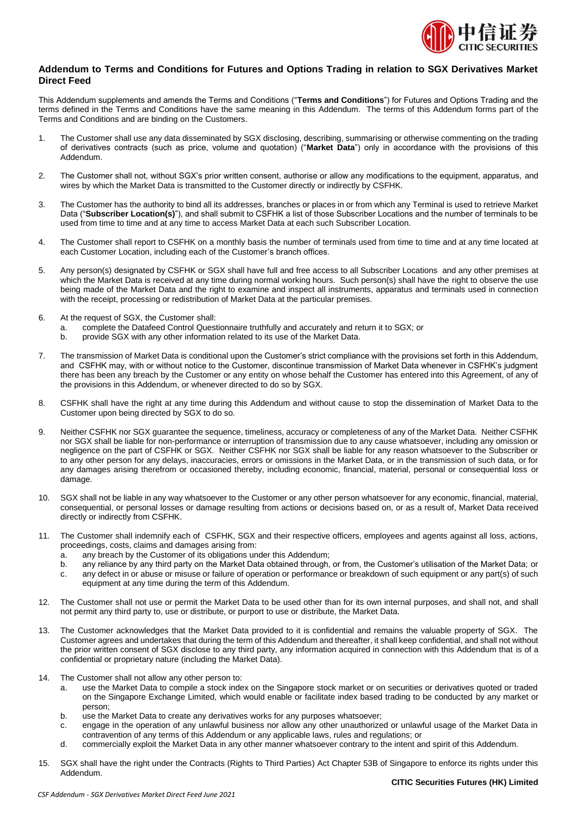

## **Addendum to Terms and Conditions for Futures and Options Trading in relation to SGX Derivatives Market Direct Feed**

This Addendum supplements and amends the Terms and Conditions ("**Terms and Conditions**") for Futures and Options Trading and the terms defined in the Terms and Conditions have the same meaning in this Addendum. The terms of this Addendum forms part of the Terms and Conditions and are binding on the Customers.

- 1. The Customer shall use any data disseminated by SGX disclosing, describing, summarising or otherwise commenting on the trading of derivatives contracts (such as price, volume and quotation) ("**Market Data**") only in accordance with the provisions of this Addendum.
- 2. The Customer shall not, without SGX's prior written consent, authorise or allow any modifications to the equipment, apparatus, and wires by which the Market Data is transmitted to the Customer directly or indirectly by CSFHK.
- 3. The Customer has the authority to bind all its addresses, branches or places in or from which any Terminal is used to retrieve Market Data ("**Subscriber Location(s)**"), and shall submit to CSFHK a list of those Subscriber Locations and the number of terminals to be used from time to time and at any time to access Market Data at each such Subscriber Location.
- 4. The Customer shall report to CSFHK on a monthly basis the number of terminals used from time to time and at any time located at each Customer Location, including each of the Customer's branch offices.
- 5. Any person(s) designated by CSFHK or SGX shall have full and free access to all Subscriber Locations and any other premises at which the Market Data is received at any time during normal working hours. Such person(s) shall have the right to observe the use being made of the Market Data and the right to examine and inspect all instruments, apparatus and terminals used in connection with the receipt, processing or redistribution of Market Data at the particular premises.
- 6. At the request of SGX, the Customer shall:
	- a. complete the Datafeed Control Questionnaire truthfully and accurately and return it to SGX; or
	- b. provide SGX with any other information related to its use of the Market Data.
- 7. The transmission of Market Data is conditional upon the Customer's strict compliance with the provisions set forth in this Addendum, and CSFHK may, with or without notice to the Customer, discontinue transmission of Market Data whenever in CSFHK's judgment there has been any breach by the Customer or any entity on whose behalf the Customer has entered into this Agreement, of any of the provisions in this Addendum, or whenever directed to do so by SGX.
- 8. CSFHK shall have the right at any time during this Addendum and without cause to stop the dissemination of Market Data to the Customer upon being directed by SGX to do so.
- 9. Neither CSFHK nor SGX guarantee the sequence, timeliness, accuracy or completeness of any of the Market Data. Neither CSFHK nor SGX shall be liable for non-performance or interruption of transmission due to any cause whatsoever, including any omission or negligence on the part of CSFHK or SGX. Neither CSFHK nor SGX shall be liable for any reason whatsoever to the Subscriber or to any other person for any delays, inaccuracies, errors or omissions in the Market Data, or in the transmission of such data, or for any damages arising therefrom or occasioned thereby, including economic, financial, material, personal or consequential loss or damage.
- 10. SGX shall not be liable in any way whatsoever to the Customer or any other person whatsoever for any economic, financial, material, consequential, or personal losses or damage resulting from actions or decisions based on, or as a result of, Market Data received directly or indirectly from CSFHK.
- 11. The Customer shall indemnify each of CSFHK, SGX and their respective officers, employees and agents against all loss, actions, proceedings, costs, claims and damages arising from:
	- a. any breach by the Customer of its obligations under this Addendum;
	- b. any reliance by any third party on the Market Data obtained through, or from, the Customer's utilisation of the Market Data; or
	- c. any defect in or abuse or misuse or failure of operation or performance or breakdown of such equipment or any part(s) of such equipment at any time during the term of this Addendum.
- 12. The Customer shall not use or permit the Market Data to be used other than for its own internal purposes, and shall not, and shall not permit any third party to, use or distribute, or purport to use or distribute, the Market Data.
- 13. The Customer acknowledges that the Market Data provided to it is confidential and remains the valuable property of SGX. The Customer agrees and undertakes that during the term of this Addendum and thereafter, it shall keep confidential, and shall not without the prior written consent of SGX disclose to any third party, any information acquired in connection with this Addendum that is of a confidential or proprietary nature (including the Market Data).
- 14. The Customer shall not allow any other person to:
	- a. use the Market Data to compile a stock index on the Singapore stock market or on securities or derivatives quoted or traded on the Singapore Exchange Limited, which would enable or facilitate index based trading to be conducted by any market or person;
	- b. use the Market Data to create any derivatives works for any purposes whatsoever;
	- c. engage in the operation of any unlawful business nor allow any other unauthorized or unlawful usage of the Market Data in contravention of any terms of this Addendum or any applicable laws, rules and regulations; or
	- d. commercially exploit the Market Data in any other manner whatsoever contrary to the intent and spirit of this Addendum.
- 15. SGX shall have the right under the Contracts (Rights to Third Parties) Act Chapter 53B of Singapore to enforce its rights under this Addendum.